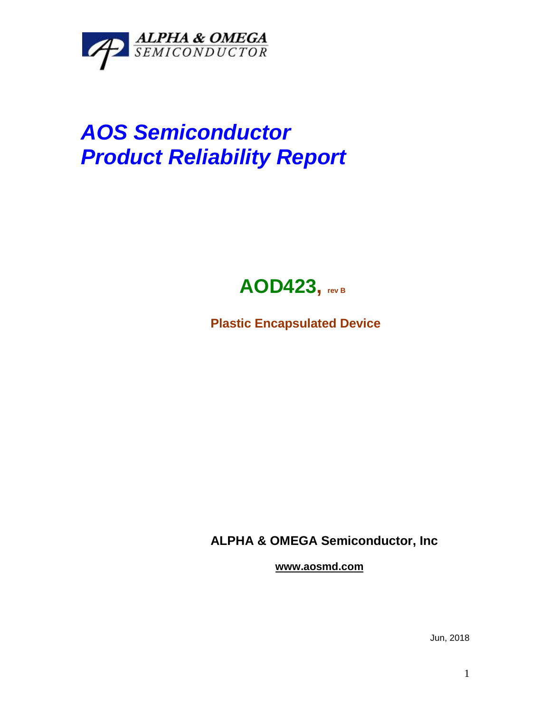

## *AOS Semiconductor Product Reliability Report*



**Plastic Encapsulated Device**

**ALPHA & OMEGA Semiconductor, Inc**

**www.aosmd.com**

Jun, 2018